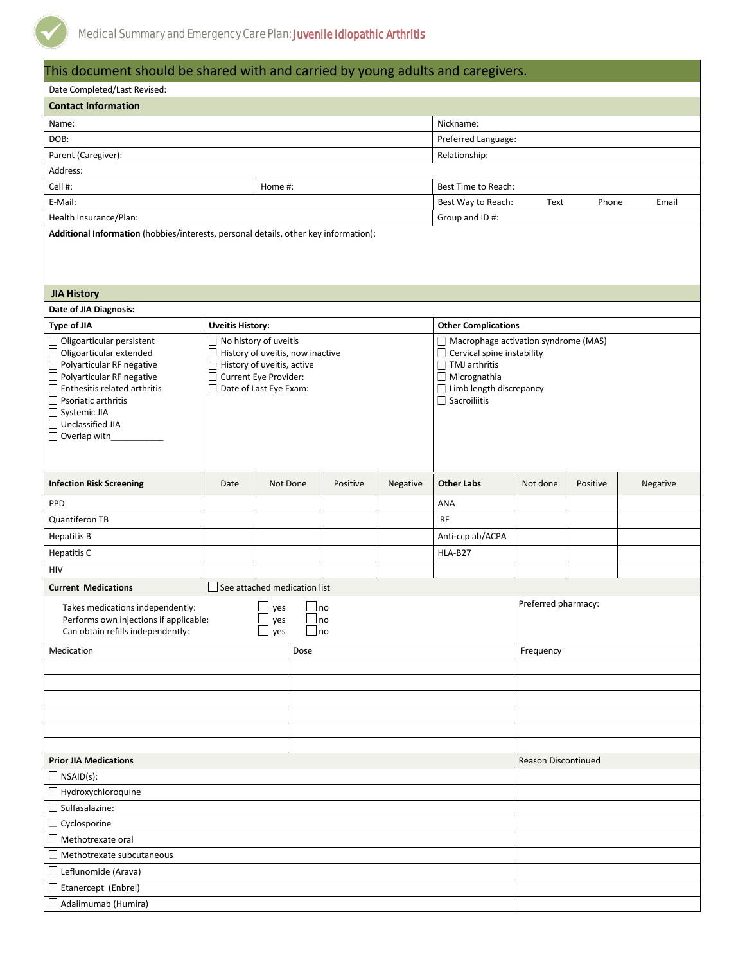

| This document should be shared with and carried by young adults and caregivers.                                                                                                                                                  |                                                                                                                                            |          |      |          |                                              |                                                                                                                                                              |                            |          |          |  |
|----------------------------------------------------------------------------------------------------------------------------------------------------------------------------------------------------------------------------------|--------------------------------------------------------------------------------------------------------------------------------------------|----------|------|----------|----------------------------------------------|--------------------------------------------------------------------------------------------------------------------------------------------------------------|----------------------------|----------|----------|--|
| Date Completed/Last Revised:                                                                                                                                                                                                     |                                                                                                                                            |          |      |          |                                              |                                                                                                                                                              |                            |          |          |  |
| <b>Contact Information</b>                                                                                                                                                                                                       |                                                                                                                                            |          |      |          |                                              |                                                                                                                                                              |                            |          |          |  |
| Nickname:<br>Name:                                                                                                                                                                                                               |                                                                                                                                            |          |      |          |                                              |                                                                                                                                                              |                            |          |          |  |
| DOB:                                                                                                                                                                                                                             |                                                                                                                                            |          |      |          |                                              | Preferred Language:                                                                                                                                          |                            |          |          |  |
| Parent (Caregiver):                                                                                                                                                                                                              |                                                                                                                                            |          |      |          | Relationship:                                |                                                                                                                                                              |                            |          |          |  |
| Address:                                                                                                                                                                                                                         |                                                                                                                                            |          |      |          |                                              |                                                                                                                                                              |                            |          |          |  |
| Cell #:<br>Home #:                                                                                                                                                                                                               |                                                                                                                                            |          |      |          |                                              | Best Time to Reach:                                                                                                                                          |                            |          |          |  |
| E-Mail:                                                                                                                                                                                                                          |                                                                                                                                            |          |      |          | Best Way to Reach:<br>Text<br>Phone<br>Email |                                                                                                                                                              |                            |          |          |  |
| Health Insurance/Plan:                                                                                                                                                                                                           |                                                                                                                                            |          |      |          | Group and ID#:                               |                                                                                                                                                              |                            |          |          |  |
| Additional Information (hobbies/interests, personal details, other key information):                                                                                                                                             |                                                                                                                                            |          |      |          |                                              |                                                                                                                                                              |                            |          |          |  |
| <b>JIA History</b>                                                                                                                                                                                                               |                                                                                                                                            |          |      |          |                                              |                                                                                                                                                              |                            |          |          |  |
| Date of JIA Diagnosis:                                                                                                                                                                                                           |                                                                                                                                            |          |      |          |                                              |                                                                                                                                                              |                            |          |          |  |
| Type of JIA                                                                                                                                                                                                                      | <b>Uveitis History:</b>                                                                                                                    |          |      |          |                                              | <b>Other Complications</b>                                                                                                                                   |                            |          |          |  |
| Oligoarticular persistent<br>Oligoarticular extended<br>Polyarticular RF negative<br>Polyarticular RF negative<br>Enthesitis related arthritis<br>$\Box$ Psoriatic arthritis<br>Systemic JIA<br>Unclassified JIA<br>Overlap with | No history of uveitis<br>History of uveitis, now inactive<br>History of uveitis, active<br>Current Eye Provider:<br>Date of Last Eye Exam: |          |      |          |                                              | Macrophage activation syndrome (MAS)<br>Cervical spine instability<br>$\Box$ TMJ arthritis<br>Micrognathia<br>Limb length discrepancy<br>$\Box$ Sacroiliitis |                            |          |          |  |
| <b>Infection Risk Screening</b>                                                                                                                                                                                                  | Date                                                                                                                                       | Not Done |      | Positive | Negative                                     | <b>Other Labs</b>                                                                                                                                            | Not done                   | Positive | Negative |  |
| <b>PPD</b>                                                                                                                                                                                                                       |                                                                                                                                            |          |      |          |                                              | ANA                                                                                                                                                          |                            |          |          |  |
| Quantiferon TB                                                                                                                                                                                                                   |                                                                                                                                            |          |      |          |                                              | <b>RF</b>                                                                                                                                                    |                            |          |          |  |
| <b>Hepatitis B</b>                                                                                                                                                                                                               |                                                                                                                                            |          |      |          |                                              | Anti-ccp ab/ACPA                                                                                                                                             |                            |          |          |  |
| <b>Hepatitis C</b>                                                                                                                                                                                                               |                                                                                                                                            |          |      |          |                                              | <b>HLA-B27</b>                                                                                                                                               |                            |          |          |  |
| HIV                                                                                                                                                                                                                              |                                                                                                                                            |          |      |          |                                              |                                                                                                                                                              |                            |          |          |  |
| <b>Current Medications</b>                                                                                                                                                                                                       | See attached medication list                                                                                                               |          |      |          |                                              |                                                                                                                                                              |                            |          |          |  |
| $\Box$ no<br>$\Box$ yes<br>Takes medications independently:<br>Performs own injections if applicable:<br>$\Box$ no<br>yes<br>Can obtain refills independently:<br>yes<br>$\Box$ no                                               |                                                                                                                                            |          |      |          |                                              |                                                                                                                                                              | Preferred pharmacy:        |          |          |  |
| Medication                                                                                                                                                                                                                       |                                                                                                                                            |          | Dose |          |                                              |                                                                                                                                                              | Frequency                  |          |          |  |
|                                                                                                                                                                                                                                  |                                                                                                                                            |          |      |          |                                              |                                                                                                                                                              |                            |          |          |  |
|                                                                                                                                                                                                                                  |                                                                                                                                            |          |      |          |                                              |                                                                                                                                                              |                            |          |          |  |
|                                                                                                                                                                                                                                  |                                                                                                                                            |          |      |          |                                              |                                                                                                                                                              |                            |          |          |  |
|                                                                                                                                                                                                                                  |                                                                                                                                            |          |      |          |                                              |                                                                                                                                                              |                            |          |          |  |
|                                                                                                                                                                                                                                  |                                                                                                                                            |          |      |          |                                              |                                                                                                                                                              |                            |          |          |  |
|                                                                                                                                                                                                                                  |                                                                                                                                            |          |      |          |                                              |                                                                                                                                                              | <b>Reason Discontinued</b> |          |          |  |
| <b>Prior JIA Medications</b>                                                                                                                                                                                                     |                                                                                                                                            |          |      |          |                                              |                                                                                                                                                              |                            |          |          |  |
| $\Box$ NSAID(s):                                                                                                                                                                                                                 |                                                                                                                                            |          |      |          |                                              |                                                                                                                                                              |                            |          |          |  |
| Hydroxychloroquine<br>Sulfasalazine:                                                                                                                                                                                             |                                                                                                                                            |          |      |          |                                              |                                                                                                                                                              |                            |          |          |  |
| Cyclosporine                                                                                                                                                                                                                     |                                                                                                                                            |          |      |          |                                              |                                                                                                                                                              |                            |          |          |  |
| Methotrexate oral                                                                                                                                                                                                                |                                                                                                                                            |          |      |          |                                              |                                                                                                                                                              |                            |          |          |  |
| $\Box$ Methotrexate subcutaneous                                                                                                                                                                                                 |                                                                                                                                            |          |      |          |                                              |                                                                                                                                                              |                            |          |          |  |
| Leflunomide (Arava)                                                                                                                                                                                                              |                                                                                                                                            |          |      |          |                                              |                                                                                                                                                              |                            |          |          |  |
| $\Box$ Etanercept (Enbrel)                                                                                                                                                                                                       |                                                                                                                                            |          |      |          |                                              |                                                                                                                                                              |                            |          |          |  |
| Adalimumab (Humira)                                                                                                                                                                                                              |                                                                                                                                            |          |      |          |                                              |                                                                                                                                                              |                            |          |          |  |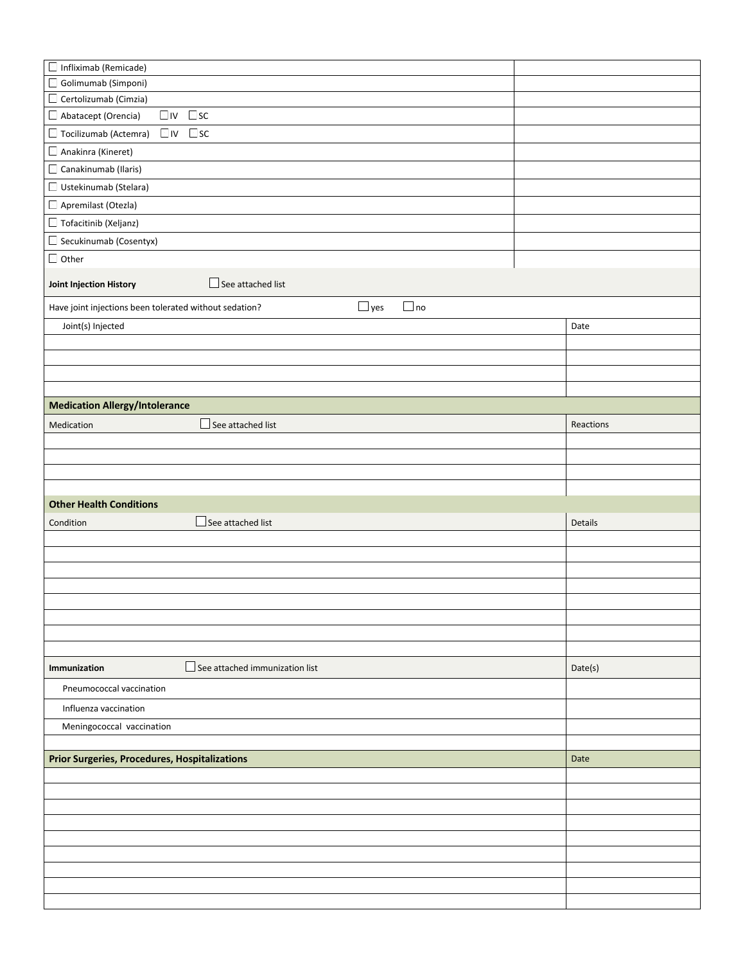| Golimumab (Simponi)                                                               |           |  |  |  |  |  |  |  |
|-----------------------------------------------------------------------------------|-----------|--|--|--|--|--|--|--|
|                                                                                   |           |  |  |  |  |  |  |  |
| Certolizumab (Cimzia)                                                             |           |  |  |  |  |  |  |  |
| $\square$ sc<br>$\Box$ IV<br>Abatacept (Orencia)                                  |           |  |  |  |  |  |  |  |
| $\square$ iv $\square$ sc<br>Tocilizumab (Actemra)                                |           |  |  |  |  |  |  |  |
| Anakinra (Kineret)                                                                |           |  |  |  |  |  |  |  |
| Canakinumab (Ilaris)                                                              |           |  |  |  |  |  |  |  |
| Ustekinumab (Stelara)                                                             |           |  |  |  |  |  |  |  |
| Apremilast (Otezla)                                                               |           |  |  |  |  |  |  |  |
| Tofacitinib (Xeljanz)                                                             |           |  |  |  |  |  |  |  |
| Secukinumab (Cosentyx)                                                            |           |  |  |  |  |  |  |  |
| $\Box$ Other                                                                      |           |  |  |  |  |  |  |  |
| See attached list<br>Joint Injection History                                      |           |  |  |  |  |  |  |  |
| $\Box$ yes<br>$\Box$ no<br>Have joint injections been tolerated without sedation? |           |  |  |  |  |  |  |  |
| Joint(s) Injected                                                                 | Date      |  |  |  |  |  |  |  |
|                                                                                   |           |  |  |  |  |  |  |  |
|                                                                                   |           |  |  |  |  |  |  |  |
|                                                                                   |           |  |  |  |  |  |  |  |
|                                                                                   |           |  |  |  |  |  |  |  |
| <b>Medication Allergy/Intolerance</b>                                             |           |  |  |  |  |  |  |  |
| $\Box$ See attached list<br>Medication                                            | Reactions |  |  |  |  |  |  |  |
|                                                                                   |           |  |  |  |  |  |  |  |
|                                                                                   |           |  |  |  |  |  |  |  |
|                                                                                   |           |  |  |  |  |  |  |  |
| <b>Other Health Conditions</b>                                                    |           |  |  |  |  |  |  |  |
| $\Box$ See attached list<br>Condition                                             | Details   |  |  |  |  |  |  |  |
|                                                                                   |           |  |  |  |  |  |  |  |
|                                                                                   |           |  |  |  |  |  |  |  |
|                                                                                   |           |  |  |  |  |  |  |  |
|                                                                                   |           |  |  |  |  |  |  |  |
|                                                                                   |           |  |  |  |  |  |  |  |
|                                                                                   |           |  |  |  |  |  |  |  |
|                                                                                   |           |  |  |  |  |  |  |  |
|                                                                                   |           |  |  |  |  |  |  |  |
|                                                                                   |           |  |  |  |  |  |  |  |
| $\Box$ See attached immunization list<br>Immunization                             | Date(s)   |  |  |  |  |  |  |  |
| Pneumococcal vaccination                                                          |           |  |  |  |  |  |  |  |
| Influenza vaccination                                                             |           |  |  |  |  |  |  |  |
| Meningococcal vaccination                                                         |           |  |  |  |  |  |  |  |
|                                                                                   |           |  |  |  |  |  |  |  |
| <b>Prior Surgeries, Procedures, Hospitalizations</b>                              | Date      |  |  |  |  |  |  |  |
|                                                                                   |           |  |  |  |  |  |  |  |
|                                                                                   |           |  |  |  |  |  |  |  |
|                                                                                   |           |  |  |  |  |  |  |  |
|                                                                                   |           |  |  |  |  |  |  |  |
|                                                                                   |           |  |  |  |  |  |  |  |
|                                                                                   |           |  |  |  |  |  |  |  |
|                                                                                   |           |  |  |  |  |  |  |  |